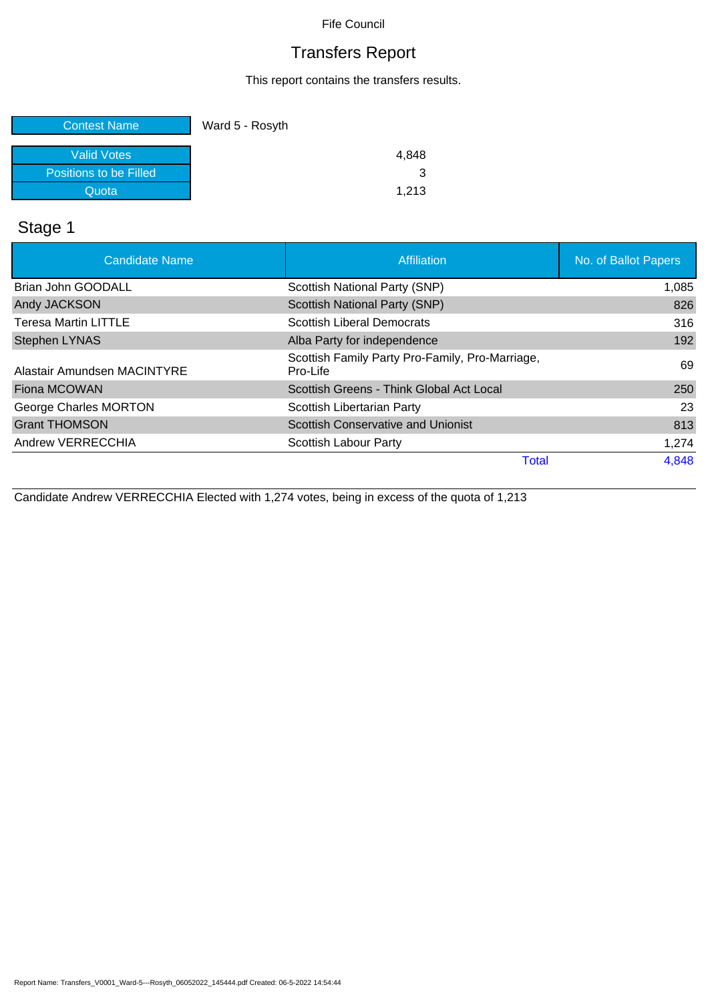## Transfers Report

This report contains the transfers results.

| <b>Contest Name</b>    | Ward 5 - Rosyth |
|------------------------|-----------------|
|                        |                 |
| Valid Votes            | 4,848           |
| Positions to be Filled |                 |
| Quota                  | 1.213           |

## Stage 1

| <b>Candidate Name</b>       | Affiliation                                                 | No. of Ballot Papers |
|-----------------------------|-------------------------------------------------------------|----------------------|
| Brian John GOODALL          | Scottish National Party (SNP)                               | 1,085                |
| <b>Andy JACKSON</b>         | Scottish National Party (SNP)                               | 826                  |
| <b>Teresa Martin LITTLE</b> | <b>Scottish Liberal Democrats</b>                           | 316                  |
| <b>Stephen LYNAS</b>        | Alba Party for independence                                 | 192                  |
| Alastair Amundsen MACINTYRE | Scottish Family Party Pro-Family, Pro-Marriage,<br>Pro-Life | 69                   |
| <b>Fiona MCOWAN</b>         | Scottish Greens - Think Global Act Local                    | 250                  |
| George Charles MORTON       | Scottish Libertarian Party                                  | 23                   |
| <b>Grant THOMSON</b>        | <b>Scottish Conservative and Unionist</b>                   | 813                  |
| Andrew VERRECCHIA           | Scottish Labour Party                                       | 1,274                |
|                             | <b>Total</b>                                                | 4,848                |

Candidate Andrew VERRECCHIA Elected with 1,274 votes, being in excess of the quota of 1,213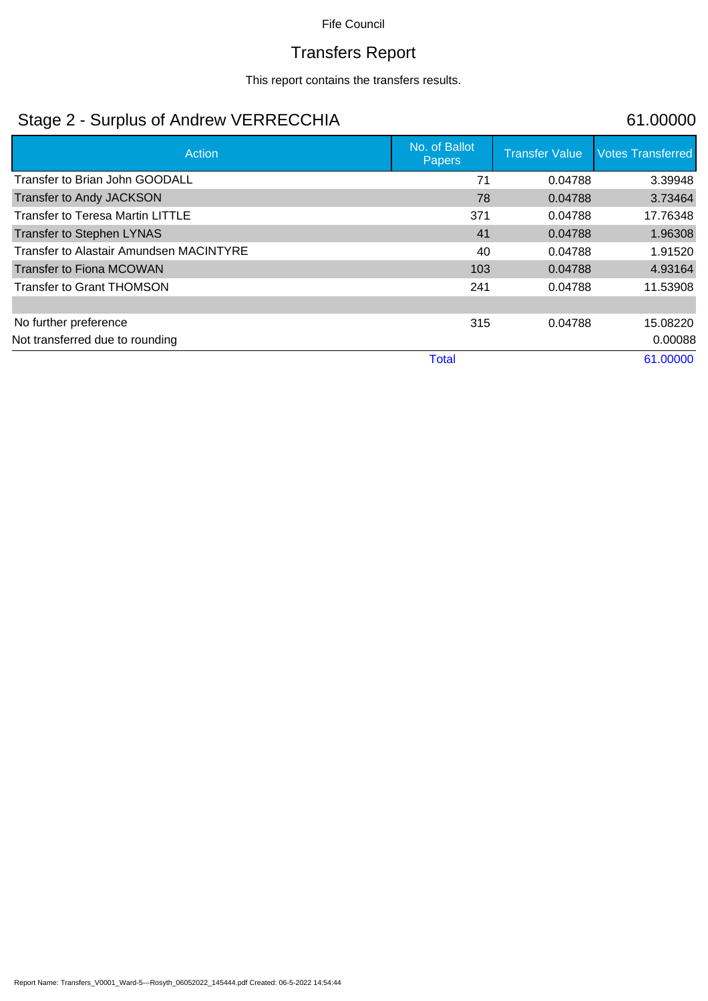# Transfers Report

This report contains the transfers results.

## Stage 2 - Surplus of Andrew VERRECCHIA 61.00000

| Action                                         | No. of Ballot<br><b>Papers</b> | <b>Transfer Value</b> | <b>Votes Transferred</b> |
|------------------------------------------------|--------------------------------|-----------------------|--------------------------|
| Transfer to Brian John GOODALL                 | 71                             | 0.04788               | 3.39948                  |
| <b>Transfer to Andy JACKSON</b>                | 78                             | 0.04788               | 3.73464                  |
| <b>Transfer to Teresa Martin LITTLE</b>        | 371                            | 0.04788               | 17.76348                 |
| Transfer to Stephen LYNAS                      | 41                             | 0.04788               | 1.96308                  |
| <b>Transfer to Alastair Amundsen MACINTYRE</b> | 40                             | 0.04788               | 1.91520                  |
| <b>Transfer to Fiona MCOWAN</b>                | 103                            | 0.04788               | 4.93164                  |
| <b>Transfer to Grant THOMSON</b>               | 241                            | 0.04788               | 11.53908                 |
|                                                |                                |                       |                          |
| No further preference                          | 315                            | 0.04788               | 15.08220                 |
| Not transferred due to rounding                |                                |                       | 0.00088                  |
|                                                | <b>Total</b>                   |                       | 61.00000                 |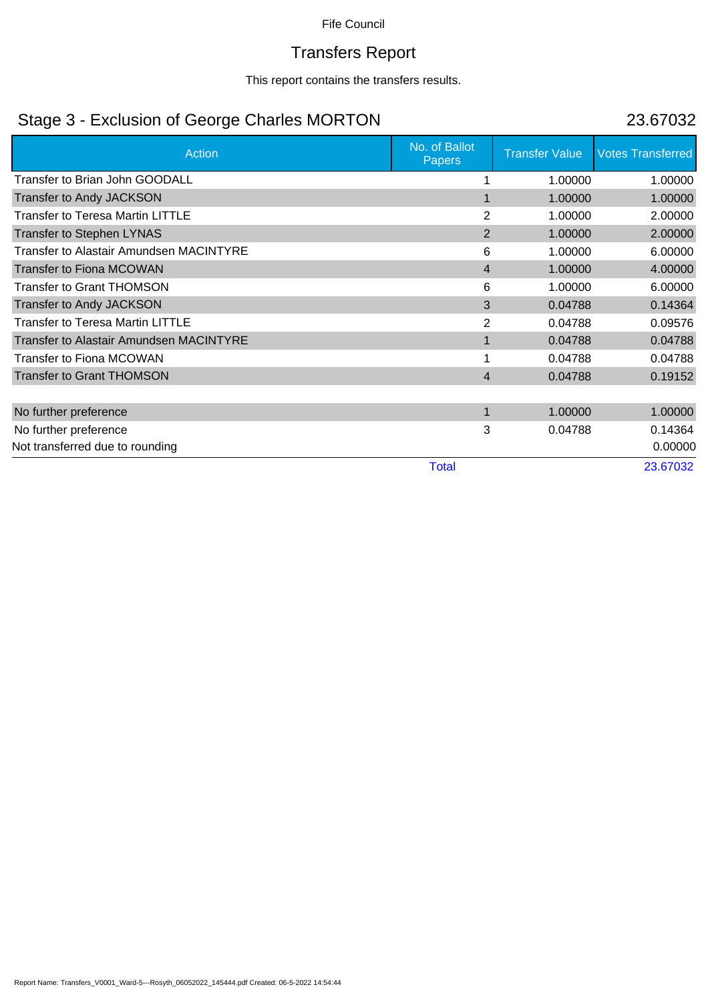# Transfers Report

This report contains the transfers results.

## Stage 3 - Exclusion of George Charles MORTON 23.67032

| <b>Action</b>                                  | No. of Ballot<br>Papers |                | <b>Transfer Value</b> | <b>Votes Transferred</b> |
|------------------------------------------------|-------------------------|----------------|-----------------------|--------------------------|
| Transfer to Brian John GOODALL                 |                         |                | 1.00000               | 1.00000                  |
| Transfer to Andy JACKSON                       |                         | 1              | 1.00000               | 1.00000                  |
| <b>Transfer to Teresa Martin LITTLE</b>        |                         | 2              | 1.00000               | 2.00000                  |
| Transfer to Stephen LYNAS                      |                         | $\overline{2}$ | 1.00000               | 2.00000                  |
| Transfer to Alastair Amundsen MACINTYRE        |                         | 6              | 1.00000               | 6.00000                  |
| <b>Transfer to Fiona MCOWAN</b>                |                         | 4              | 1.00000               | 4.00000                  |
| <b>Transfer to Grant THOMSON</b>               |                         | 6              | 1.00000               | 6.00000                  |
| Transfer to Andy JACKSON                       |                         | 3              | 0.04788               | 0.14364                  |
| <b>Transfer to Teresa Martin LITTLE</b>        |                         | 2              | 0.04788               | 0.09576                  |
| <b>Transfer to Alastair Amundsen MACINTYRE</b> |                         | 1              | 0.04788               | 0.04788                  |
| <b>Transfer to Fiona MCOWAN</b>                |                         |                | 0.04788               | 0.04788                  |
| <b>Transfer to Grant THOMSON</b>               |                         | 4              | 0.04788               | 0.19152                  |
|                                                |                         |                |                       |                          |
| No further preference                          |                         | $\mathbf 1$    | 1.00000               | 1.00000                  |
| No further preference                          |                         | 3              | 0.04788               | 0.14364                  |
| Not transferred due to rounding                |                         |                |                       | 0.00000                  |
|                                                | <b>Total</b>            |                |                       | 23.67032                 |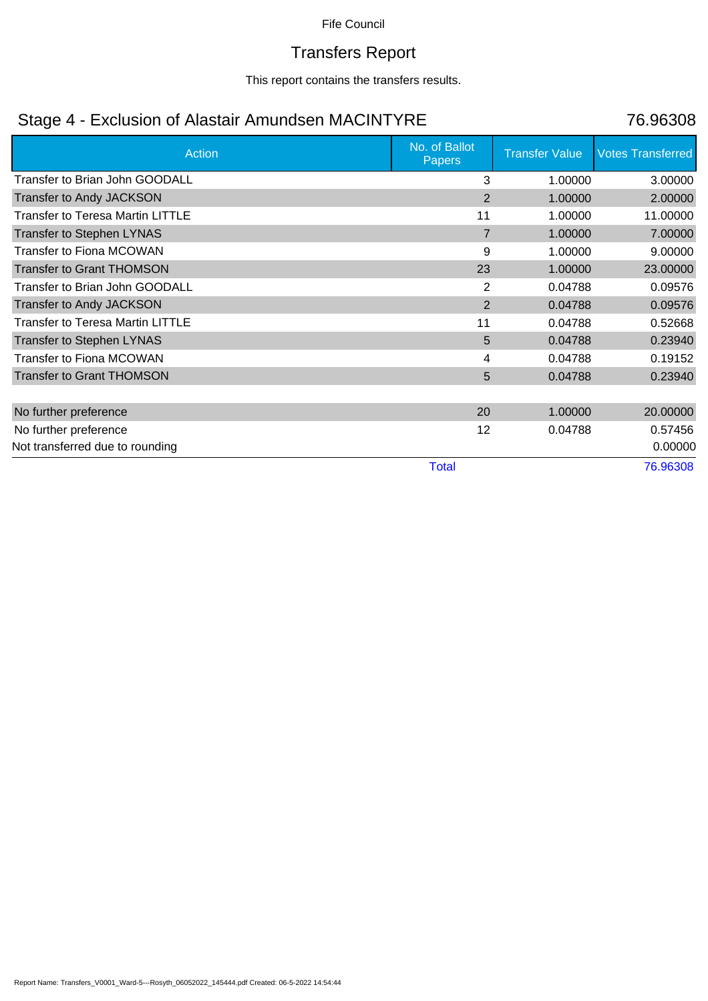## Transfers Report

This report contains the transfers results.

## Stage 4 - Exclusion of Alastair Amundsen MACINTYRE 76.96308

| <b>Action</b>                           | No. of Ballot<br><b>Papers</b> | <b>Transfer Value</b> | <b>Votes Transferred</b> |
|-----------------------------------------|--------------------------------|-----------------------|--------------------------|
| Transfer to Brian John GOODALL          | 3                              | 1.00000               | 3.00000                  |
| Transfer to Andy JACKSON                | 2                              | 1.00000               | 2.00000                  |
| <b>Transfer to Teresa Martin LITTLE</b> | 11                             | 1.00000               | 11.00000                 |
| Transfer to Stephen LYNAS               | $\overline{7}$                 | 1.00000               | 7.00000                  |
| Transfer to Fiona MCOWAN                | 9                              | 1.00000               | 9.00000                  |
| <b>Transfer to Grant THOMSON</b>        | 23                             | 1.00000               | 23.00000                 |
| Transfer to Brian John GOODALL          | 2                              | 0.04788               | 0.09576                  |
| Transfer to Andy JACKSON                | 2                              | 0.04788               | 0.09576                  |
| <b>Transfer to Teresa Martin LITTLE</b> | 11                             | 0.04788               | 0.52668                  |
| Transfer to Stephen LYNAS               | 5                              | 0.04788               | 0.23940                  |
| <b>Transfer to Fiona MCOWAN</b>         | 4                              | 0.04788               | 0.19152                  |
| <b>Transfer to Grant THOMSON</b>        | 5                              | 0.04788               | 0.23940                  |
|                                         |                                |                       |                          |
| No further preference                   | 20                             | 1.00000               | 20.00000                 |
| No further preference                   | 12                             | 0.04788               | 0.57456                  |
| Not transferred due to rounding         |                                |                       | 0.00000                  |
|                                         | <b>Total</b>                   |                       | 76.96308                 |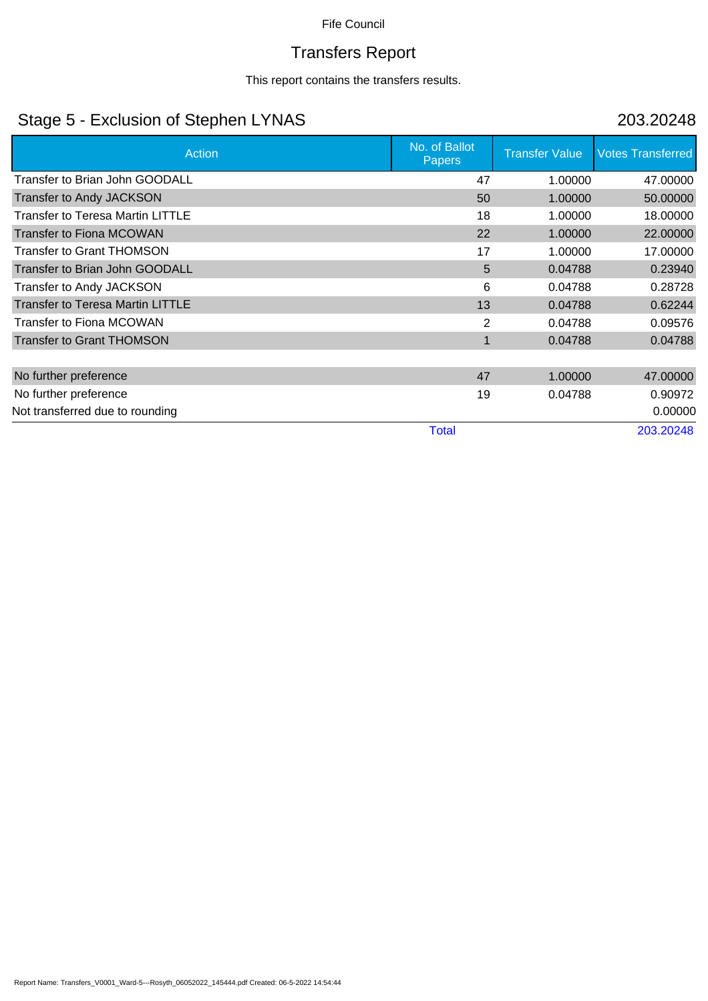# Transfers Report

This report contains the transfers results.

## Stage 5 - Exclusion of Stephen LYNAS 203.20248

| Action                                  | No. of Ballot<br><b>Papers</b> | <b>Transfer Value</b> | <b>Votes Transferred</b> |
|-----------------------------------------|--------------------------------|-----------------------|--------------------------|
| Transfer to Brian John GOODALL          | 47                             | 1.00000               | 47.00000                 |
| <b>Transfer to Andy JACKSON</b>         | 50                             | 1.00000               | 50.00000                 |
| Transfer to Teresa Martin LITTLE        | 18                             | 1.00000               | 18.00000                 |
| <b>Transfer to Fiona MCOWAN</b>         | 22                             | 1.00000               | 22.00000                 |
| <b>Transfer to Grant THOMSON</b>        | 17                             | 1.00000               | 17.00000                 |
| Transfer to Brian John GOODALL          | 5                              | 0.04788               | 0.23940                  |
| Transfer to Andy JACKSON                | 6                              | 0.04788               | 0.28728                  |
| <b>Transfer to Teresa Martin LITTLE</b> | 13                             | 0.04788               | 0.62244                  |
| Transfer to Fiona MCOWAN                | 2                              | 0.04788               | 0.09576                  |
| <b>Transfer to Grant THOMSON</b>        | $\mathbf 1$                    | 0.04788               | 0.04788                  |
|                                         |                                |                       |                          |
| No further preference                   | 47                             | 1.00000               | 47,00000                 |
| No further preference                   | 19                             | 0.04788               | 0.90972                  |
| Not transferred due to rounding         |                                |                       | 0.00000                  |
|                                         | <b>Total</b>                   |                       | 203.20248                |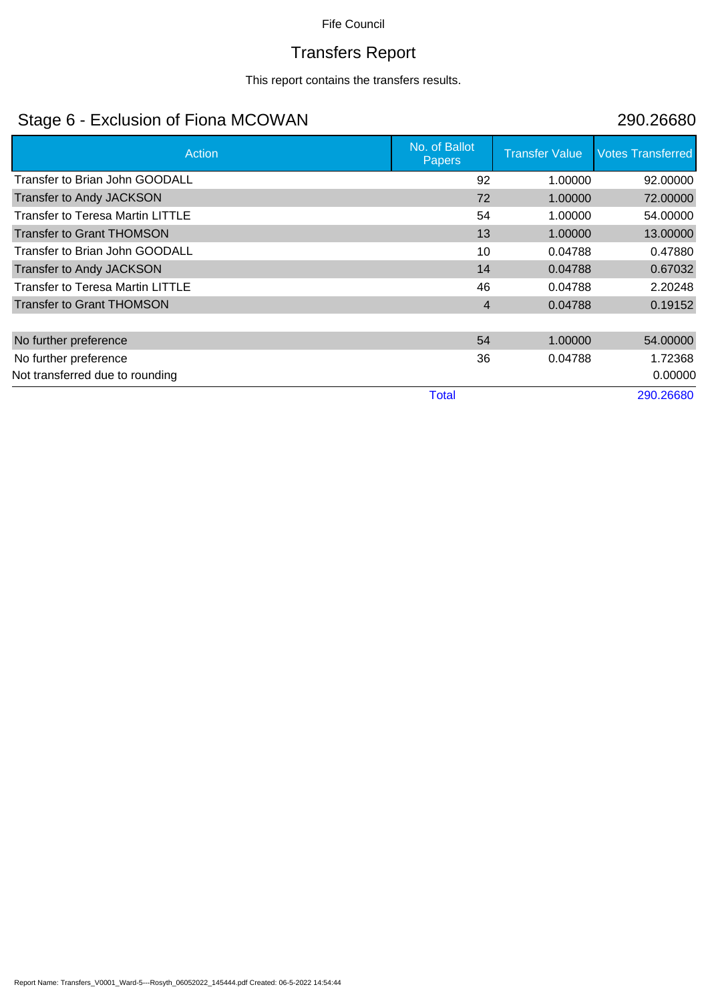# Transfers Report

This report contains the transfers results.

## Stage 6 - Exclusion of Fiona MCOWAN 290.26680

| Action                                  | No. of Ballot<br><b>Papers</b> | <b>Transfer Value</b> | <b>Votes Transferred</b> |
|-----------------------------------------|--------------------------------|-----------------------|--------------------------|
| Transfer to Brian John GOODALL          | 92                             | 1.00000               | 92,00000                 |
| <b>Transfer to Andy JACKSON</b>         | 72                             | 1.00000               | 72.00000                 |
| <b>Transfer to Teresa Martin LITTLE</b> | 54                             | 1.00000               | 54.00000                 |
| <b>Transfer to Grant THOMSON</b>        | 13                             | 1.00000               | 13.00000                 |
| Transfer to Brian John GOODALL          | 10                             | 0.04788               | 0.47880                  |
| <b>Transfer to Andy JACKSON</b>         | 14                             | 0.04788               | 0.67032                  |
| <b>Transfer to Teresa Martin LITTLE</b> | 46                             | 0.04788               | 2.20248                  |
| <b>Transfer to Grant THOMSON</b>        | $\overline{4}$                 | 0.04788               | 0.19152                  |
|                                         |                                |                       |                          |
| No further preference                   | 54                             | 1.00000               | 54.00000                 |
| No further preference                   | 36                             | 0.04788               | 1.72368                  |
| Not transferred due to rounding         |                                |                       | 0.00000                  |
|                                         | <b>Total</b>                   |                       | 290.26680                |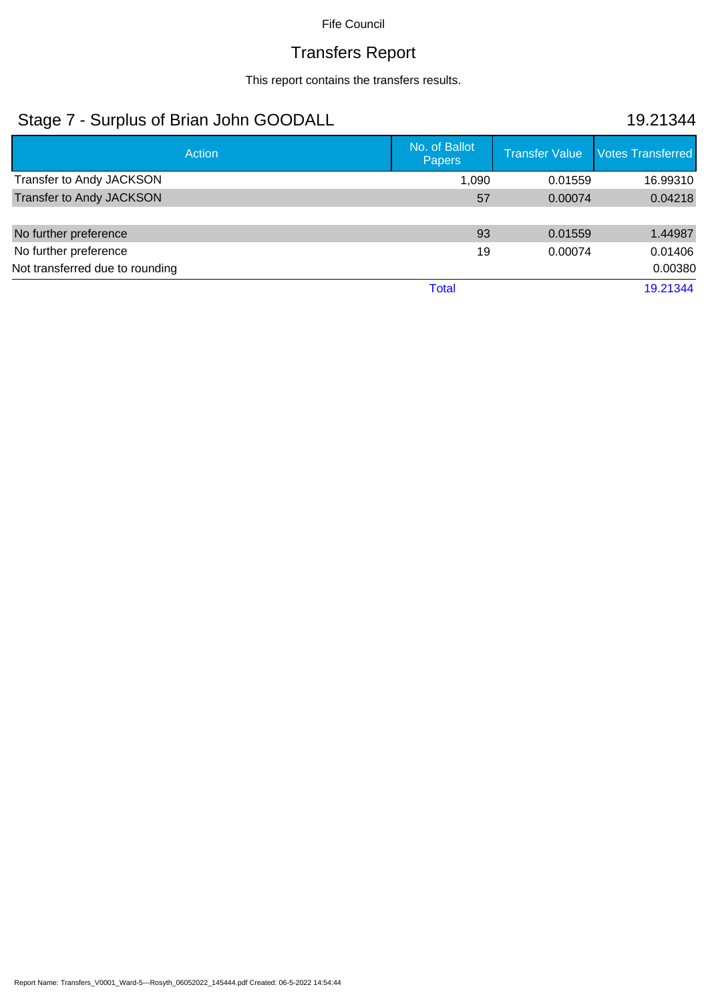# Transfers Report

This report contains the transfers results.

## Stage 7 - Surplus of Brian John GOODALL 19.21344

| Action                          | No. of Ballot<br><b>Papers</b> | <b>Transfer Value</b> | <b>Votes Transferred</b> |
|---------------------------------|--------------------------------|-----------------------|--------------------------|
| Transfer to Andy JACKSON        | 1,090                          | 0.01559               | 16.99310                 |
| Transfer to Andy JACKSON        | 57                             | 0.00074               | 0.04218                  |
|                                 |                                |                       |                          |
| No further preference           | 93                             | 0.01559               | 1.44987                  |
| No further preference           | 19                             | 0.00074               | 0.01406                  |
| Not transferred due to rounding |                                |                       | 0.00380                  |
|                                 | Total                          |                       | 19.21344                 |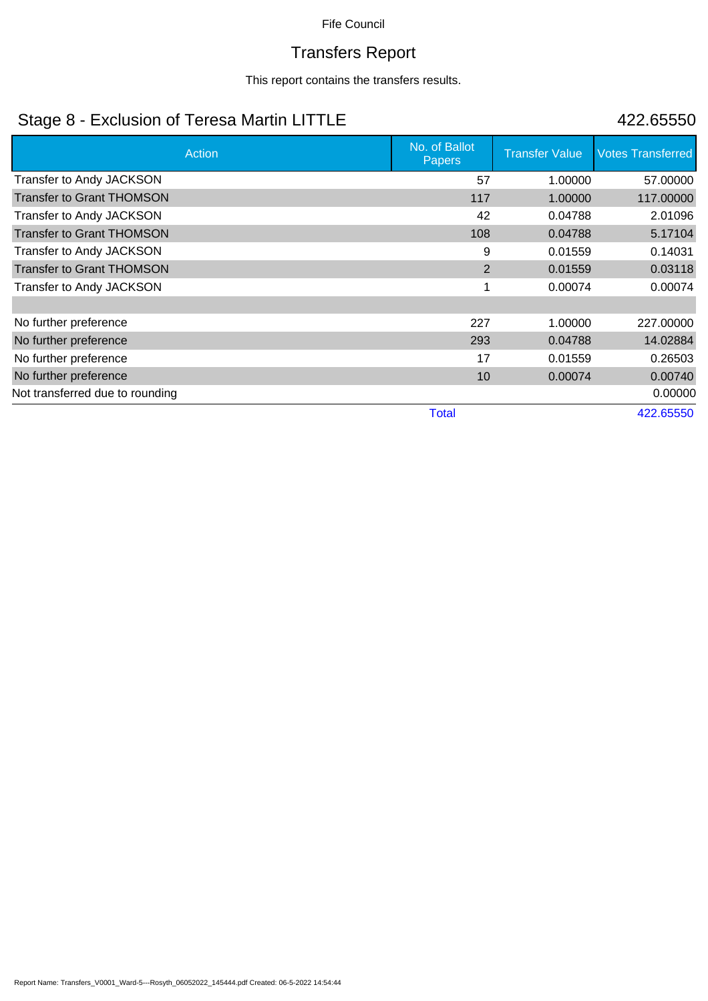# Transfers Report

This report contains the transfers results.

## Stage 8 - Exclusion of Teresa Martin LITTLE 422.65550

| Action                           | No. of Ballot<br><b>Papers</b> | <b>Transfer Value</b> | <b>Votes Transferred</b> |
|----------------------------------|--------------------------------|-----------------------|--------------------------|
| Transfer to Andy JACKSON         | 57                             | 1.00000               | 57,00000                 |
| <b>Transfer to Grant THOMSON</b> | 117                            | 1.00000               | 117.00000                |
| Transfer to Andy JACKSON         | 42                             | 0.04788               | 2.01096                  |
| <b>Transfer to Grant THOMSON</b> | 108                            | 0.04788               | 5.17104                  |
| Transfer to Andy JACKSON         | 9                              | 0.01559               | 0.14031                  |
| <b>Transfer to Grant THOMSON</b> | 2                              | 0.01559               | 0.03118                  |
| Transfer to Andy JACKSON         |                                | 0.00074               | 0.00074                  |
|                                  |                                |                       |                          |
| No further preference            | 227                            | 1.00000               | 227,00000                |
| No further preference            | 293                            | 0.04788               | 14.02884                 |
| No further preference            | 17                             | 0.01559               | 0.26503                  |
| No further preference            | 10                             | 0.00074               | 0.00740                  |
| Not transferred due to rounding  |                                |                       | 0.00000                  |
|                                  | <b>Total</b>                   |                       | 422.65550                |